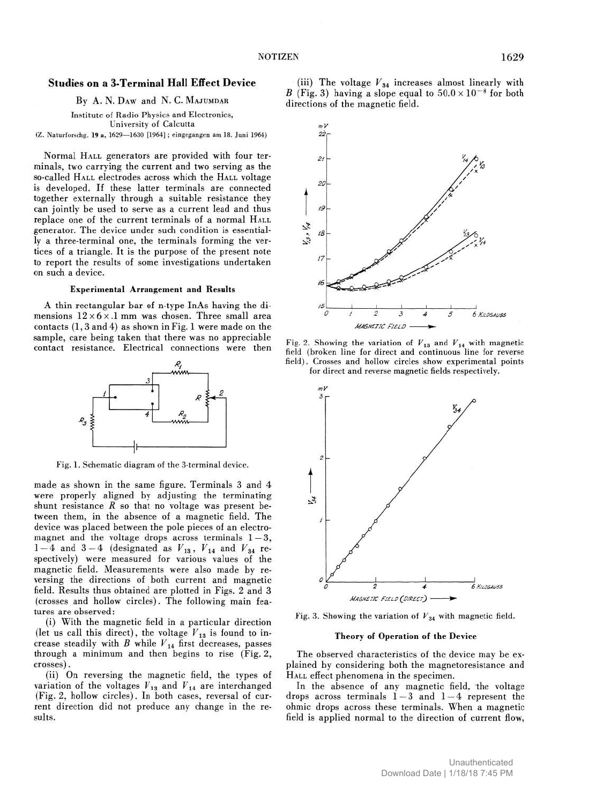# **Studies on a 3-Terminal Hall Effect Device**

By A. N. Daw and N. C. MAJUMDAR

Institute of Radio Physics and Electronics, University of Calcutta

( Z. Naturforschg. **19** a, 1629—1630 [1964] ; eingegangen am 18. Juni 1964)

Normal HALL generators are provided with four terminals, two carrying the current and two serving as the so-called HALL electrodes across which the HALL voltage is developed. If these latter terminals are connected together externally through a suitable resistance they can jointly be used to serve as a current lead and thus replace one of the current terminals of a normal HALL generator. The device under such condition is essentially a three-terminal one, the terminals forming the vertices of a triangle. It is the purpose of the present note to report the results of some investigations undertaken on such a device.

#### **Experimental Arrangement and Results**

A thin rectangular bar of n-type InAs having the dimensions  $12 \times 6 \times .1$  mm was chosen. Three small area contacts (1,3 and 4) as shown in Fig. 1 were made on the sample, care being taken that there was no appreciable contact resistance. Electrical connections were then



Fig. 1. Schematic diagram of the 3-terminal device.

made as shown in the same figure. Terminals 3 and 4 were properly aligned by adjusting the terminating shunt resistance  $R$  so that no voltage was present between them, in the absence of a magnetic field. The device was placed between the pole pieces of an electromagnet and the voltage drops across terminals  $1-3$ ,  $1-4$  and  $3-4$  (designated as  $V_{13}$ ,  $V_{14}$  and  $V_{34}$  respectively) were measured for various values of the magnetic field. Measurements were also made by reversing the directions of both current and magnetic field. Results thus obtained are plotted in Figs. 2 and 3 (crosses and hollow circles). The following main features are observed:

(i) With the magnetic field in a particular direction (let us call this direct), the voltage  $V_{13}$  is found to increase steadily with  $\hat{B}$  while  $V_{14}$  first decreases, passes through a minimum and then begins to rise (Fig. 2, crosses).

(ii) On reversing the magnetic field, the types of variation of the voltages  $V_{13}$  and  $V_{14}$  are interchanged (Fig. 2, hollow circles). In both cases, reversal of current direction did not produce any change in the results.

(iii) The voltage *V34* increases almost linearly with *B* (Fig. 3) having a slope equal to  $50.0 \times 10^{-8}$  for both directions of the magnetic field.



Fig. 2. Showing the variation of *V13* and *V14* with magnetic field (broken line for direct and continuous line for reverse field). Crosses and hollow circles show experimental points for direct and reverse magnetic fields respectively.



Fig. 3. Showing the variation of *V34* with magnetic field.

## **Theory of Operation of the Device**

The observed characteristics of the device may be explained by considering both the magnetoresistance and HALL effect phenomena in the specimen.

In the absence of any magnetic field, the voltage drops across terminals  $1-3$  and  $1-4$  represent the ohmic drops across these terminals. When a magnetic field is applied normal to the direction of current flow,